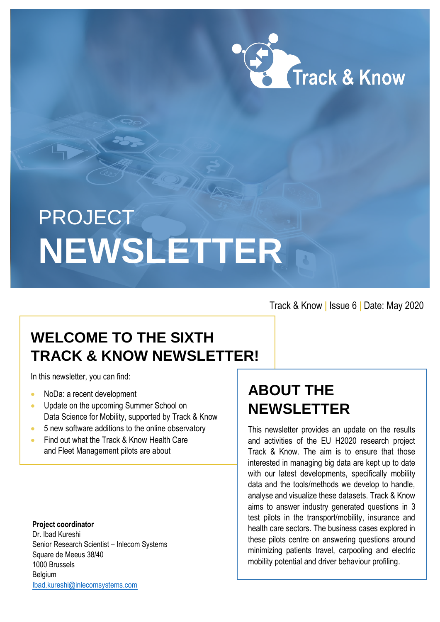

# **PROJECT NEWSLETTER**

Track & Know **|** Issue 6 **|** Date: May 2020

### **WELCOME TO THE SIXTH TRACK & KNOW NEWSLETTER!**

In this newsletter, you can find:

- NoDa: a recent development
- Update on the upcoming Summer School on Data Science for Mobility, supported by Track & Know
- 5 new software additions to the online observatory
- Find out what the Track & Know Health Care and Fleet Management pilots are about

**Project coordinator** Dr. Ibad Kureshi Senior Research Scientist – Inlecom Systems Square de Meeus 38/40 1000 Brussels Belgium [Ibad.kureshi@inlecomsystems.com](mailto:Ibad.kureshi@inlecomsystems.com)

### **ABOUT THE NEWSLETTER**

This newsletter provides an update on the results and activities of the EU H2020 research project Track & Know. The aim is to ensure that those interested in managing big data are kept up to date with our latest developments, specifically mobility data and the tools/methods we develop to handle, analyse and visualize these datasets. Track & Know aims to answer industry generated questions in 3 test pilots in the transport/mobility, insurance and health care sectors. The business cases explored in these pilots centre on answering questions around minimizing patients travel, carpooling and electric mobility potential and driver behaviour profiling.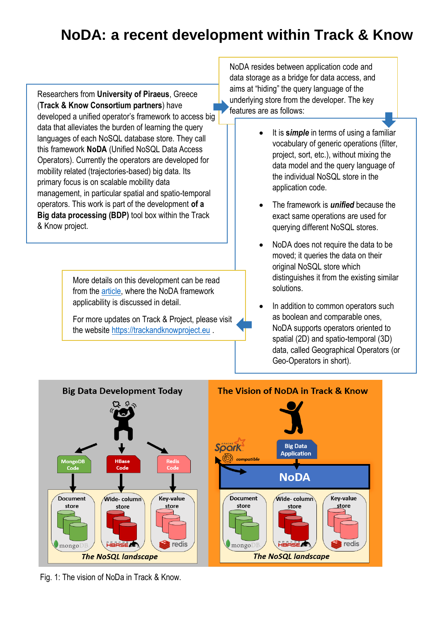### **NoDA: a recent development within Track & Know**

Researchers from **University of Piraeus**, Greece (**Track & Know Consortium partners**) have developed a unified operator's framework to access big data that alleviates the burden of learning the query languages of each NoSQL database store. They call this framework **NoDA** (Unified NoSQL Data Access Operators). Currently the operators are developed for mobility related (trajectories-based) big data. Its primary focus is on scalable mobility data management, in particular spatial and spatio-temporal operators. This work is part of the development **of a Big data processing (BDP)** tool box within the Track & Know project.

> More details on this development can be read from the [article,](https://www.ds.unipi.gr/spades/sstd19.pdf) where the NoDA framework applicability is discussed in detail.

For more updates on Track & Project, please visit the website [https://trackandknowproject.eu](https://trackandknowproject.eu/) .

NoDA resides between application code and data storage as a bridge for data access, and aims at "hiding" the query language of the underlying store from the developer. The key features are as follows:

- It is **s***imple* in terms of using a familiar vocabulary of generic operations (filter, project, sort, etc.), without mixing the data model and the query language of the individual NoSQL store in the application code.
- The framework is *unified* because the exact same operations are used for querying different NoSQL stores.
- NoDA does not require the data to be moved; it queries the data on their original NoSQL store which distinguishes it from the existing similar solutions.
- In addition to common operators such as boolean and comparable ones, NoDA supports operators oriented to spatial (2D) and spatio-temporal (3D) data, called Geographical Operators (or Geo-Operators in short).



Fig. 1: The vision of NoDa in Track & Know.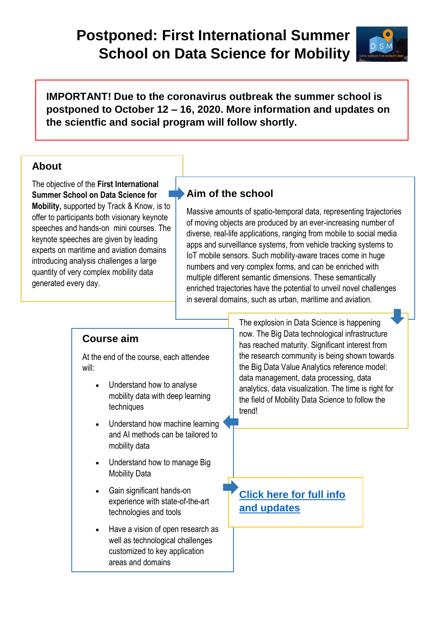### **Postponed: First International Summer School on Data Science for Mobility**



**IMPORTANT! Due to the coronavirus outbreak the summer school is postponed to October 12 – 16, 2020. More information and updates on the scientfic and social program will follow shortly.** 

#### **About**

The objective of the **First International Summer School on Data Science for Mobility,** supported by Track & Know, is to offer to participants both visionary keynote speeches and hands-on mini courses. The keynote speeches are given by leading experts on maritime and aviation domains introducing analysis challenges a large quantity of very complex mobility data generated every day.

#### **Aim of the school**

Massive amounts of spatio-temporal data, representing trajectories of moving objects are produced by an ever-increasing number of diverse, real-life applications, ranging from mobile to social media apps and surveillance systems, from vehicle tracking systems to IoT mobile sensors. Such mobility-aware traces come in huge numbers and very complex forms, and can be enriched with multiple different semantic dimensions. These semantically enriched trajectories have the potential to unveil novel challenges in several domains, such as urban, maritime and aviation.

#### **Course aim**

At the end of the course, each attendee will:

- Understand how to analyse mobility data with deep learning techniques
- Understand how machine learning and AI methods can be tailored to mobility data
- Understand how to manage Big Mobility Data
- Gain significant hands-on experience with state-of-the-art technologies and tools
- Have a vision of open research as well as technological challenges customized to key application areas and domains

The explosion in Data Science is happening now. The Big Data technological infrastructure has reached maturity. Significant interest from the research community is being shown towards the Big Data Value Analytics reference model: data management, data processing, data analytics, data visualization. The time is right for the field of Mobility Data Science to follow the trend!

**Click here [for full info](http://master-school.isti.cnr.it/%20.) and updates**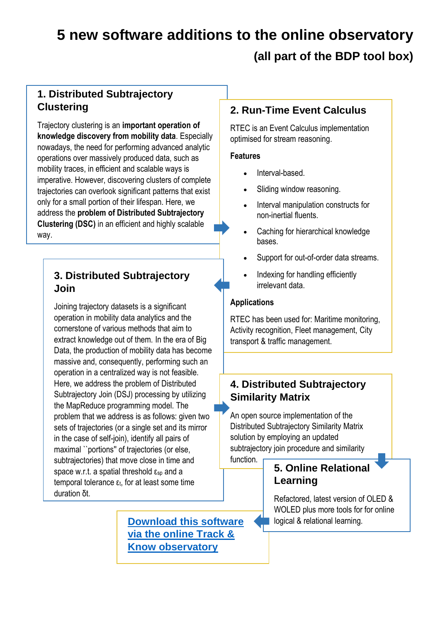### **5 new software additions to the online observatory (all part of the BDP tool box)**

#### **1. Distributed Subtrajectory Clustering**

Trajectory clustering is an **important operation of knowledge discovery from mobility data**. Especially nowadays, the need for performing advanced analytic operations over massively produced data, such as mobility traces, in efficient and scalable ways is imperative. However, discovering clusters of complete trajectories can overlook significant patterns that exist only for a small portion of their lifespan. Here, we address the **problem of Distributed Subtrajectory Clustering (DSC)** in an efficient and highly scalable way.

#### **3. Distributed Subtrajectory Join**

Joining trajectory datasets is a significant operation in mobility data analytics and the cornerstone of various methods that aim to extract knowledge out of them. In the era of Big Data, the production of mobility data has become massive and, consequently, performing such an operation in a centralized way is not feasible. Here, we address the problem of Distributed Subtrajectory Join (DSJ) processing by utilizing the MapReduce programming model. The problem that we address is as follows: given two sets of trajectories (or a single set and its mirror in the case of self-join), identify all pairs of maximal ``portions'' of trajectories (or else, subtrajectories) that move close in time and space w.r.t. a spatial threshold  $\epsilon_{sp}$  and a temporal tolerance  $ε_t$ , for at least some time duration δt.

#### **2. Run-Time Event Calculus**

RTEC is an Event Calculus implementation optimised for stream reasoning.

#### **Features**

- Interval-based.
- Sliding window reasoning.
- Interval manipulation constructs for non-inertial fluents.
- Caching for hierarchical knowledge bases.
- Support for out-of-order data streams.
- Indexing for handling efficiently irrelevant data.

#### **Applications**

RTEC has been used for: Maritime monitoring, Activity recognition, Fleet management, City transport & traffic management.

#### **4. Distributed Subtrajectory Similarity Matrix**

An open source implementation of the Distributed Subtrajectory Similarity Matrix solution by employing an updated subtrajectory join procedure and similarity function.

#### **5. Online Relational Learning**

Refactored, latest version of OLED & WOLED plus more tools for for online logical & relational learning.

**Download [this software](https://trackandknowproject.eu/file-repository/?eeSFLF_ListFolder=Track-and-Know-Software)  [via the online Track &](https://trackandknowproject.eu/file-repository/?eeSFLF_ListFolder=Track-and-Know-Software)  [Know observatory](https://trackandknowproject.eu/file-repository/?eeSFLF_ListFolder=Track-and-Know-Software)**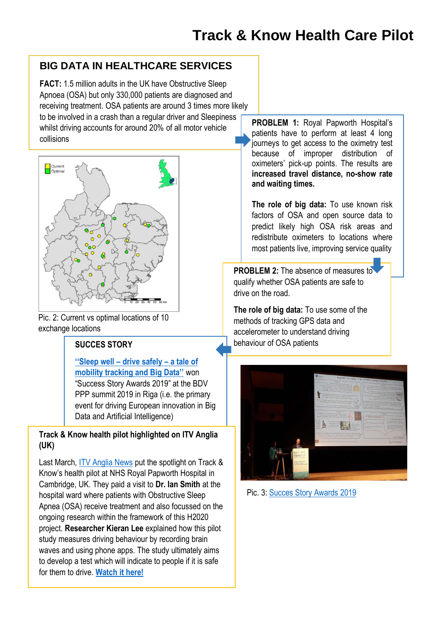#### **BIG DATA IN HEALTHCARE SERVICES**

**FACT:** 1.5 million adults in the UK have Obstructive Sleep Apnoea (OSA) but only 330,000 patients are diagnosed and receiving treatment. OSA patients are around 3 times more likely to be involved in a crash than a regular driver and Sleepiness whilst driving accounts for around 20% of all motor vehicle collisions



Pic. 2: Current vs optimal locations of 10 exchange locations

**[''Sleep well –](https://trackandknowproject.eu/wp-content/uploads/2019/10/Sleep-Well-Drive-Safely-.pdf) drive safely – a tale of [mobility tracking and Big Data''](https://trackandknowproject.eu/wp-content/uploads/2019/10/Sleep-Well-Drive-Safely-.pdf)** won "Success Story Awards 2019" at the BDV PPP summit 2019 in Riga (i.e. the primary event for driving European innovation in Big Data and Artificial Intelligence)

#### **Track & Know health pilot highlighted on ITV Anglia (UK)**

Last March, [ITV Anglia News](https://www.itv.com/news/anglia/) put the spotlight on Track & Know's health pilot at NHS Royal Papworth Hospital in Cambridge, UK. They paid a visit to **Dr. Ian Smith** at the hospital ward where patients with Obstructive Sleep Apnea (OSA) receive treatment and also focussed on the ongoing research within the framework of this H2020 project. **Researcher Kieran Lee** explained how this pilot study measures driving behaviour by recording brain waves and using phone apps. The study ultimately aims to develop a test which will indicate to people if it is safe for them to drive. **[Watch it here!](https://trackandknowproject.eu/2020/03/16/track-know-health-pilot-highlighted-on-itv-anglia-uk/)**

**PROBLEM 1:** Royal Papworth Hospital's patients have to perform at least 4 long journeys to get access to the oximetry test because of improper distribution of oximeters' pick-up points. The results are **increased travel distance, no-show rate and waiting times.**

**The role of big data:** To use known risk factors of OSA and open source data to predict likely high OSA risk areas and redistribute oximeters to locations where most patients live, improving service quality

**PROBLEM 2:** The absence of measures to qualify whether OSA patients are safe to drive on the road.

**The role of big data:** To use some of the methods of tracking GPS data and accelerometer to understand driving **SUCCES STORY behaviour of OSA patients** 



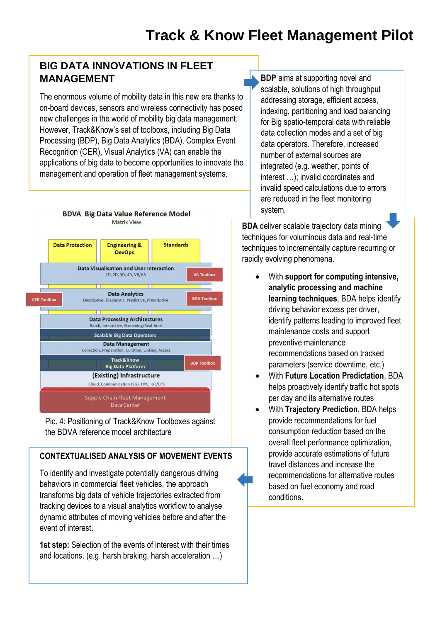#### **BIG DATA INNOVATIONS IN FLEET MANAGEMENT**

The enormous volume of mobility data in this new era thanks to on-board devices, sensors and wireless connectivity has posed new challenges in the world of mobility big data management. However, Track&Know's set of toolboxs, including Big Data Processing (BDP), Big Data Analytics (BDA), Complex Event Recognition (CER), Visual Analytics (VA) can enable the applications of big data to become opportunities to innovate the management and operation of fleet management systems.



Pic. 4: Positioning of Track&Know Toolboxes against the BDVA reference model architecture

#### **CONTEXTUALISED ANALYSIS OF MOVEMENT EVENTS**

To identify and investigate potentially dangerous driving behaviors in commercial fleet vehicles, the approach transforms big data of vehicle trajectories extracted from tracking devices to a visual analytics workflow to analyse dynamic attributes of moving vehicles before and after the event of interest.

**1st step:** Selection of the events of interest with their times and locations. (e.g. harsh braking, harsh acceleration …)

**BDP** aims at supporting novel and scalable, solutions of high throughput addressing storage, efficient access, indexing, partitioning and load balancing for Big spatio-temporal data with reliable data collection modes and a set of big data operators. Therefore, increased number of external sources are integrated (e.g. weather, points of interest …); invalid coordinates and invalid speed calculations due to errors are reduced in the fleet monitoring system.

**BDA** deliver scalable trajectory data mining techniques for voluminous data and real-time techniques to incrementally capture recurring or rapidly evolving phenomena.

- With **support for computing intensive, analytic processing and machine learning techniques**, BDA helps identify driving behavior excess per driver, identify patterns leading to improved fleet maintenance costs and support preventive maintenance recommendations based on tracked parameters (service downtime, etc.)
- With **Future Location Predictation**, BDA helps proactively identify traffic hot spots per day and its alternative routes
- With **Trajectory Prediction**, BDA helps provide recommendations for fuel consumption reduction based on the overall fleet performance optimization, provide accurate estimations of future travel distances and increase the recommendations for alternative routes based on fuel economy and road conditions.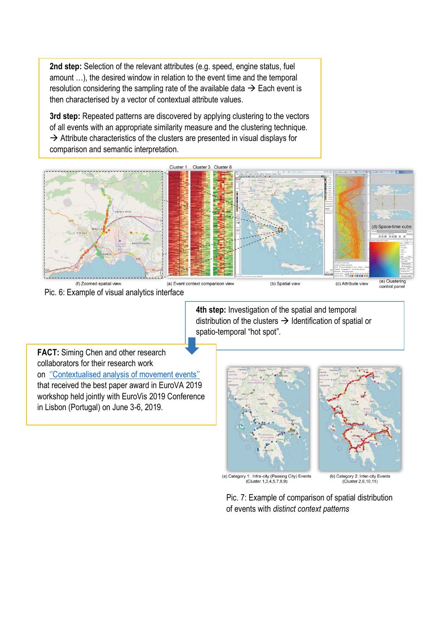**2nd step:** Selection of the relevant attributes (e.g. speed, engine status, fuel amount …), the desired window in relation to the event time and the temporal resolution considering the sampling rate of the available data  $\rightarrow$  Each event is then characterised by a vector of contextual attribute values.

**3rd step:** Repeated patterns are discovered by applying clustering to the vectors of all events with an appropriate similarity measure and the clustering technique.  $\rightarrow$  Attribute characteristics of the clusters are presented in visual displays for comparison and semantic interpretation.



Pic. 6: Example of visual analytics interface

**4th step:** Investigation of the spatial and temporal distribution of the clusters  $\rightarrow$  Identification of spatial or spatio-temporal "hot spot".

**FACT:** Siming Chen and other research collaborators for their research work on [''Contextualised analysis of movement events''](https://trackandknowproject.eu/2019/06/07/track-know-research-work-received-eurova-2019-best-paper-award/) that received the best paper award in EuroVA 2019 workshop held jointly with EuroVis 2019 Conference in Lisbon (Portugal) on June 3-6, 2019.





(a) Category 1: Intra-city (Passing City) Events<br>(Cluster 1,3,4,5,7,8,9)

(b) Category 2: Inter-city Events<br>(Cluster 2,6,10,11)

Pic. 7: Example of comparison of spatial distribution of events with *distinct context patterns*